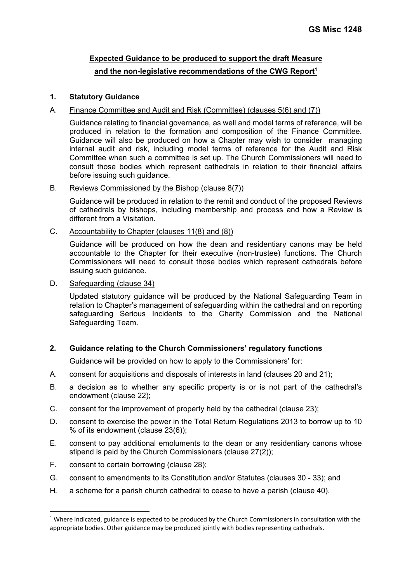# **Expected Guidance to be produced to support the draft Measure and the non-legislative recommendations of the CWG Report1**

#### **1. Statutory Guidance**

#### A. Finance Committee and Audit and Risk (Committee) (clauses 5(6) and (7))

Guidance relating to financial governance, as well and model terms of reference, will be produced in relation to the formation and composition of the Finance Committee. Guidance will also be produced on how a Chapter may wish to consider managing internal audit and risk, including model terms of reference for the Audit and Risk Committee when such a committee is set up. The Church Commissioners will need to consult those bodies which represent cathedrals in relation to their financial affairs before issuing such guidance.

#### B. Reviews Commissioned by the Bishop (clause 8(7))

Guidance will be produced in relation to the remit and conduct of the proposed Reviews of cathedrals by bishops, including membership and process and how a Review is different from a Visitation.

### C. Accountability to Chapter (clauses 11(8) and (8))

Guidance will be produced on how the dean and residentiary canons may be held accountable to the Chapter for their executive (non-trustee) functions. The Church Commissioners will need to consult those bodies which represent cathedrals before issuing such guidance.

#### D. Safeguarding (clause 34)

Updated statutory guidance will be produced by the National Safeguarding Team in relation to Chapter's management of safeguarding within the cathedral and on reporting safeguarding Serious Incidents to the Charity Commission and the National Safeguarding Team.

### **2. Guidance relating to the Church Commissioners' regulatory functions**

Guidance will be provided on how to apply to the Commissioners' for:

- A. consent for acquisitions and disposals of interests in land (clauses 20 and 21);
- B. a decision as to whether any specific property is or is not part of the cathedral's endowment (clause 22);
- C. consent for the improvement of property held by the cathedral (clause 23);
- D. consent to exercise the power in the Total Return Regulations 2013 to borrow up to 10 % of its endowment (clause 23(6));
- E. consent to pay additional emoluments to the dean or any residentiary canons whose stipend is paid by the Church Commissioners (clause 27(2));
- F. consent to certain borrowing (clause 28);
- G. consent to amendments to its Constitution and/or Statutes (clauses 30 33); and
- H. a scheme for a parish church cathedral to cease to have a parish (clause 40).

 $1$  Where indicated, guidance is expected to be produced by the Church Commissioners in consultation with the appropriate bodies. Other guidance may be produced jointly with bodies representing cathedrals.